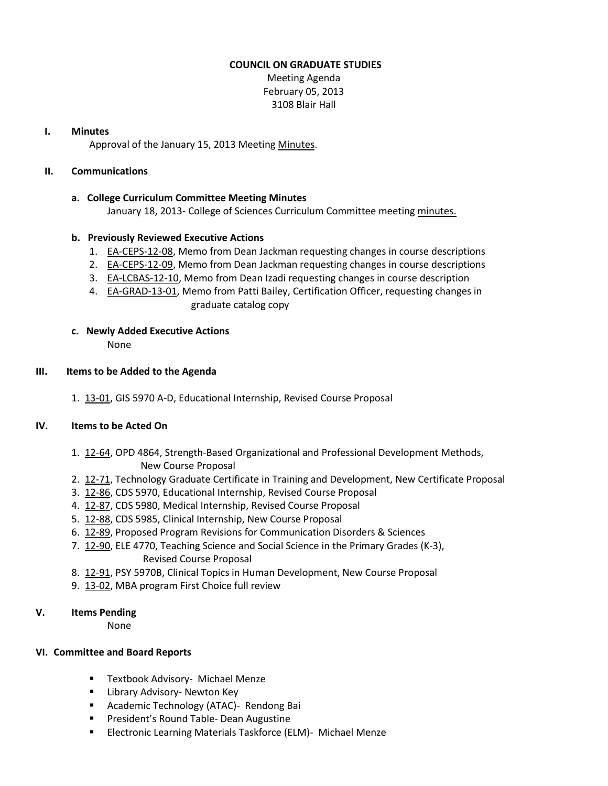## **COUNCIL ON GRADUATE STUDIES**

Meeting Agenda February 05, 2013 3108 Blair Hall

#### **I. Minutes**

Approval of the January 15, 2013 Meeting [Minutes.](http://castle.eiu.edu/eiucgs/currentminutes/Minutes01-15-13.pdf)

## **II. Communications**

### **a. College Curriculum Committee Meeting Minutes**

January 18, 2013- College of Sciences Curriculum Committee meetin[g minutes.](http://castle.eiu.edu/~eiucgs/currentagendaitems/COSMin01-18-13.pdf)

# **b. Previously Reviewed Executive Actions**

- 1. [EA-CEPS-12-08,](http://castle.eiu.edu/~eiucgs/exec-actions/EA-CEPS-12-08.pdf) Memo from Dean Jackman requesting changes in course descriptions
- 2. [EA-CEPS-12-09,](http://castle.eiu.edu/~eiucgs/exec-actions/EA-CEPS-12-09.pdf) Memo from Dean Jackman requesting changes in course descriptions
- 3. [EA-LCBAS-12-10,](http://castle.eiu.edu/~eiucgs/exec-actions/EA-LCBAS-12-10.pdf) Memo from Dean Izadi requesting changes in course description
- 4. **EA-GRAD-13-01**, Memo from Patti Bailey, Certification Officer, requesting changes in graduate catalog copy

# **c. Newly Added Executive Actions**

None

### **III. Items to be Added to the Agenda**

1. [13-01,](http://castle.eiu.edu/~eiucgs/currentagendaitems/agenda13-01.pdf) GIS 5970 A-D, Educational Internship, Revised Course Proposal

# **IV. Items to be Acted On**

- 1. [12-64,](http://castle.eiu.edu/~eiucgs/currentagendaitems/agenda12-64.pdf) OPD 4864, Strength-Based Organizational and Professional Development Methods, New Course Proposal
- 2.[12-71,](http://castle.eiu.edu/~eiucgs/currentagendaitems/agenda12-71.pdf) Technology Graduate Certificate in Training and Development, New Certificate Proposal
- 3. [12-86,](http://castle.eiu.edu/~eiucgs/currentagendaitems/agenda12-86.pdf) CDS 5970, Educational Internship, Revised Course Proposal
- 4. [12-87,](http://castle.eiu.edu/~eiucgs/currentagendaitems/agenda12-87.pdf) CDS 5980, Medical Internship, Revised Course Proposal
- 5. [12-88,](http://castle.eiu.edu/~eiucgs/currentagendaitems/agenda12-88.pdf) CDS 5985, Clinical Internship, New Course Proposal
- 6. [12-89,](http://castle.eiu.edu/~eiucgs/currentagendaitems/agenda12-89.pdf) Proposed Program Revisions for Communication Disorders & Sciences
- 7. [12-90,](http://castle.eiu.edu/~eiucgs/currentagendaitems/agenda12-90.pdf) ELE 4770, Teaching Science and Social Science in the Primary Grades (K-3), Revised Course Proposal
- 8. [12-91,](http://castle.eiu.edu/~eiucgs/currentagendaitems/agenda12-91.pdf) PSY 5970B, Clinical Topics in Human Development, New Course Proposal
- 9. [13-02,](http://castle.eiu.edu/~eiucgs/currentagendaitems/agenda13-02.pdf) MBA program First Choice full review

# **V. Items Pending**

None

# **VI. Committee and Board Reports**

- **Textbook Advisory- Michael Menze**
- **E** Library Advisory- Newton Key
- **Academic Technology (ATAC)- Rendong Bai**
- **Paramer's Round Table- Dean Augustine**
- **Electronic Learning Materials Taskforce (ELM)- Michael Menze**